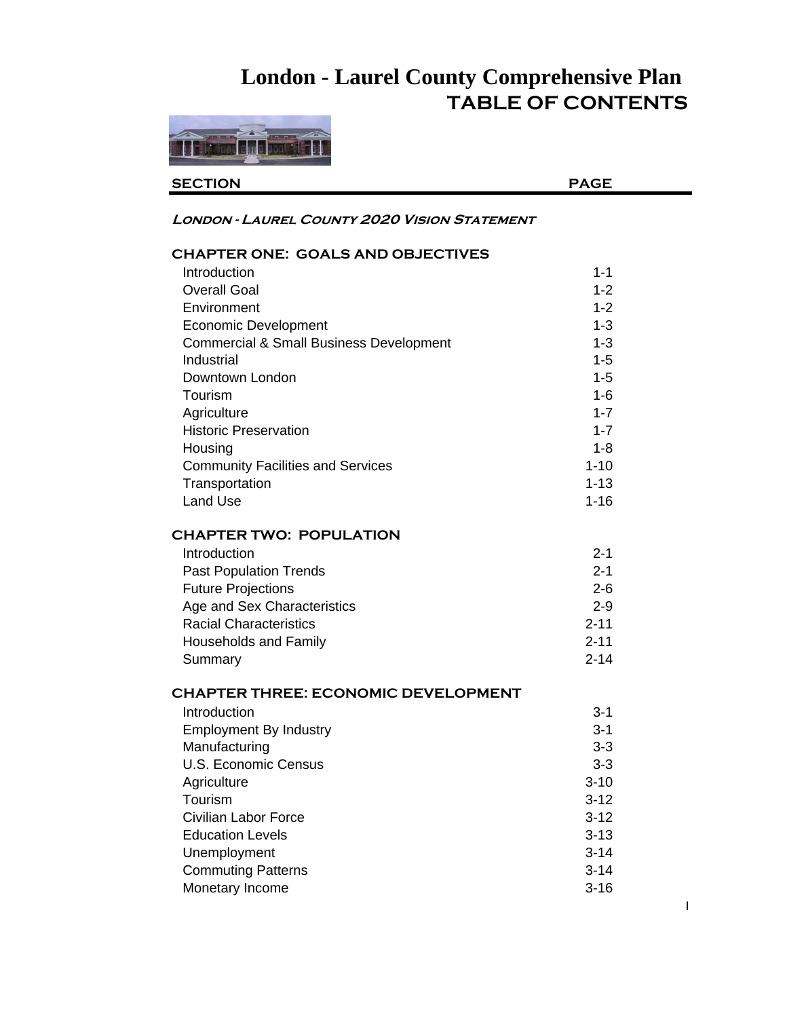# **London - Laurel County Comprehensive Plan TABLE OF CONTENTS**



**SECTION PAGE**

#### **London - Laurel County 2020 Vision Statement**

#### **CHAPTER ONE: GOALS AND OBJECTIVES**

| Introduction                                       | $1 - 1$  |
|----------------------------------------------------|----------|
| <b>Overall Goal</b>                                | $1 - 2$  |
| Environment                                        | $1 - 2$  |
| <b>Economic Development</b>                        | $1 - 3$  |
| <b>Commercial &amp; Small Business Development</b> | $1 - 3$  |
| Industrial                                         | $1 - 5$  |
| Downtown London                                    | $1 - 5$  |
| Tourism                                            | $1 - 6$  |
| Agriculture                                        | $1 - 7$  |
| <b>Historic Preservation</b>                       | $1 - 7$  |
| Housing                                            | $1 - 8$  |
| <b>Community Facilities and Services</b>           | $1 - 10$ |
| Transportation                                     | $1 - 13$ |
| <b>Land Use</b>                                    | $1 - 16$ |
| <b>CHAPTER TWO: POPULATION</b>                     |          |
| Introduction                                       | $2 - 1$  |
| <b>Past Population Trends</b>                      | $2 - 1$  |
| <b>Future Projections</b>                          | $2 - 6$  |
| Age and Sex Characteristics                        | $2 - 9$  |
| <b>Racial Characteristics</b>                      | $2 - 11$ |
| <b>Households and Family</b>                       | $2 - 11$ |
| Summary                                            | $2 - 14$ |
| <b>CHAPTER THREE: ECONOMIC DEVELOPMENT</b>         |          |
| Introduction                                       | $3 - 1$  |
| <b>Employment By Industry</b>                      | $3 - 1$  |
| Manufacturing                                      | $3 - 3$  |
| <b>U.S. Economic Census</b>                        | $3 - 3$  |
| Agriculture                                        | $3 - 10$ |
| Tourism                                            | $3 - 12$ |
| <b>Civilian Labor Force</b>                        | $3 - 12$ |
| <b>Education Levels</b>                            | $3 - 13$ |
| Unemployment                                       | $3 - 14$ |
| <b>Commuting Patterns</b>                          | $3 - 14$ |
| Monetary Income                                    | $3 - 16$ |

I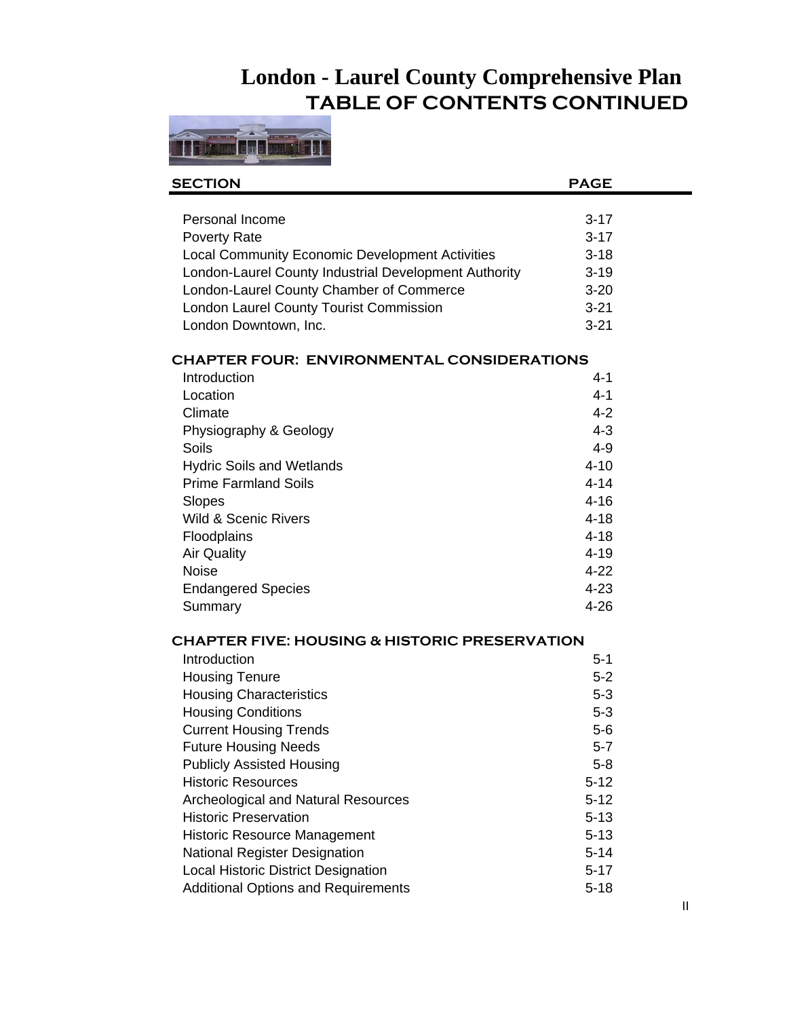### **London - Laurel County Comprehensive Plan TABLE OF CONTENTS CONTINUED**



| <b>SECTION</b>                                           | <b>PAGE</b> |  |
|----------------------------------------------------------|-------------|--|
|                                                          |             |  |
| Personal Income                                          | $3 - 17$    |  |
| Poverty Rate                                             | $3 - 17$    |  |
| <b>Local Community Economic Development Activities</b>   | $3 - 18$    |  |
| London-Laurel County Industrial Development Authority    | $3 - 19$    |  |
| London-Laurel County Chamber of Commerce                 | $3 - 20$    |  |
| London Laurel County Tourist Commission                  | $3 - 21$    |  |
| London Downtown, Inc.                                    | $3 - 21$    |  |
| <b>CHAPTER FOUR: ENVIRONMENTAL CONSIDERATIONS</b>        |             |  |
| Introduction                                             | $4 - 1$     |  |
| Location                                                 | $4 - 1$     |  |
| Climate                                                  | $4 - 2$     |  |
| Physiography & Geology                                   | $4 - 3$     |  |
| Soils                                                    | $4 - 9$     |  |
| <b>Hydric Soils and Wetlands</b>                         | $4 - 10$    |  |
| <b>Prime Farmland Soils</b>                              | $4 - 14$    |  |
| Slopes                                                   | $4 - 16$    |  |
| <b>Wild &amp; Scenic Rivers</b>                          | $4 - 18$    |  |
| Floodplains                                              | $4 - 18$    |  |
| <b>Air Quality</b>                                       | $4 - 19$    |  |
| <b>Noise</b>                                             | $4 - 22$    |  |
| <b>Endangered Species</b>                                | $4 - 23$    |  |
| Summary                                                  | $4 - 26$    |  |
| <b>CHAPTER FIVE: HOUSING &amp; HISTORIC PRESERVATION</b> |             |  |
| Introduction                                             | $5 - 1$     |  |
| <b>Housing Tenure</b>                                    | $5 - 2$     |  |
| <b>Housing Characteristics</b>                           | $5-3$       |  |
| <b>Housing Conditions</b>                                | $5 - 3$     |  |
| <b>Current Housing Trends</b>                            | $5-6$       |  |
| <b>Future Housing Needs</b>                              | $5 - 7$     |  |
| <b>Publicly Assisted Housing</b>                         | $5 - 8$     |  |
| <b>Historic Resources</b>                                | $5 - 12$    |  |
| Archeological and Natural Resources                      | $5 - 12$    |  |
| <b>Historic Preservation</b>                             | $5 - 13$    |  |
| <b>Historic Resource Management</b>                      | $5 - 13$    |  |
| <b>National Register Designation</b>                     | $5 - 14$    |  |
| Local Historic District Designation                      | $5 - 17$    |  |
| <b>Additional Options and Requirements</b>               | $5 - 18$    |  |
|                                                          |             |  |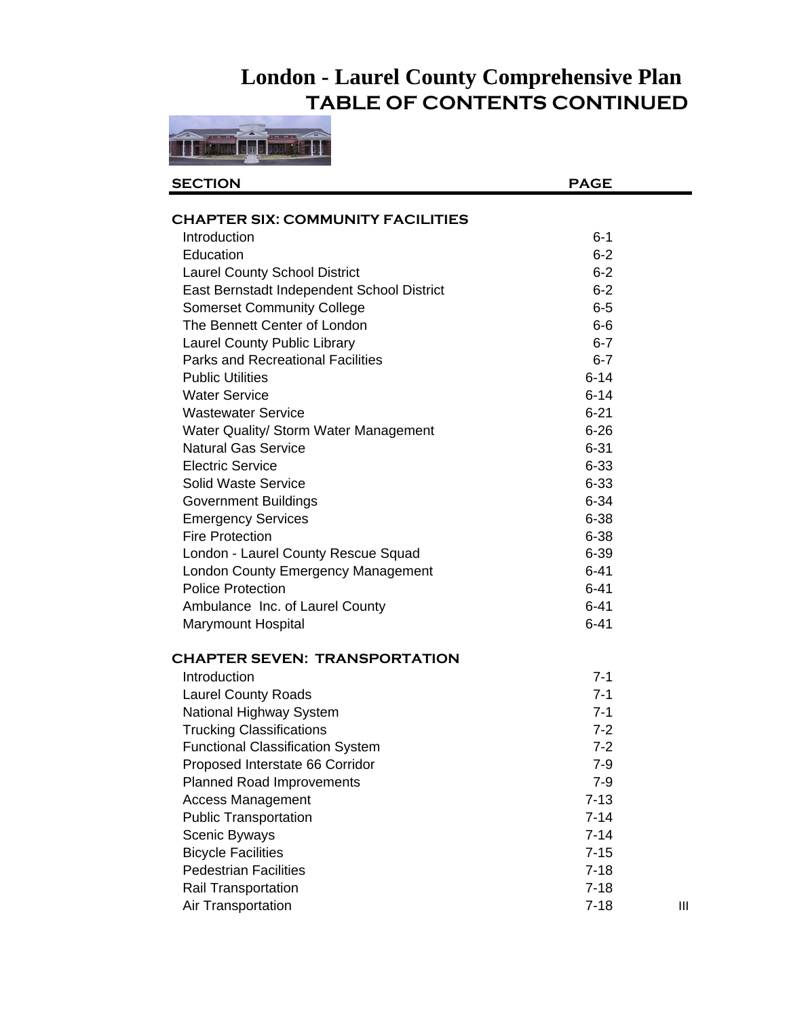## **London - Laurel County Comprehensive Plan TABLE OF CONTENTS CONTINUED**



| <b>SECTION</b>                             | <b>PAGE</b> |   |
|--------------------------------------------|-------------|---|
|                                            |             |   |
| <b>CHAPTER SIX: COMMUNITY FACILITIES</b>   |             |   |
| Introduction                               | $6 - 1$     |   |
| Education                                  | $6 - 2$     |   |
| <b>Laurel County School District</b>       | $6 - 2$     |   |
| East Bernstadt Independent School District | $6 - 2$     |   |
| <b>Somerset Community College</b>          | $6-5$       |   |
| The Bennett Center of London               | $6-6$       |   |
| <b>Laurel County Public Library</b>        | $6 - 7$     |   |
| <b>Parks and Recreational Facilities</b>   | $6 - 7$     |   |
| <b>Public Utilities</b>                    | $6 - 14$    |   |
| <b>Water Service</b>                       | $6 - 14$    |   |
| <b>Wastewater Service</b>                  | $6 - 21$    |   |
| Water Quality/ Storm Water Management      | $6 - 26$    |   |
| <b>Natural Gas Service</b>                 | $6 - 31$    |   |
| <b>Electric Service</b>                    | $6 - 33$    |   |
| <b>Solid Waste Service</b>                 | $6 - 33$    |   |
| <b>Government Buildings</b>                | $6 - 34$    |   |
| <b>Emergency Services</b>                  | $6 - 38$    |   |
| <b>Fire Protection</b>                     | $6 - 38$    |   |
| London - Laurel County Rescue Squad        | $6 - 39$    |   |
| London County Emergency Management         | $6 - 41$    |   |
| <b>Police Protection</b>                   | $6 - 41$    |   |
| Ambulance Inc. of Laurel County            | $6 - 41$    |   |
| Marymount Hospital                         | $6 - 41$    |   |
| <b>CHAPTER SEVEN: TRANSPORTATION</b>       |             |   |
| Introduction                               | $7 - 1$     |   |
| <b>Laurel County Roads</b>                 | $7 - 1$     |   |
| National Highway System                    | $7 - 1$     |   |
| <b>Trucking Classifications</b>            | $7 - 2$     |   |
| <b>Functional Classification System</b>    | $7 - 2$     |   |
| Proposed Interstate 66 Corridor            | 7-9         |   |
| <b>Planned Road Improvements</b>           | $7 - 9$     |   |
| <b>Access Management</b>                   | $7 - 13$    |   |
| <b>Public Transportation</b>               | $7 - 14$    |   |
| Scenic Byways                              | $7 - 14$    |   |
| <b>Bicycle Facilities</b>                  | $7 - 15$    |   |
| <b>Pedestrian Facilities</b>               | $7 - 18$    |   |
| <b>Rail Transportation</b>                 | $7 - 18$    |   |
| Air Transportation                         | $7 - 18$    | Ш |
|                                            |             |   |